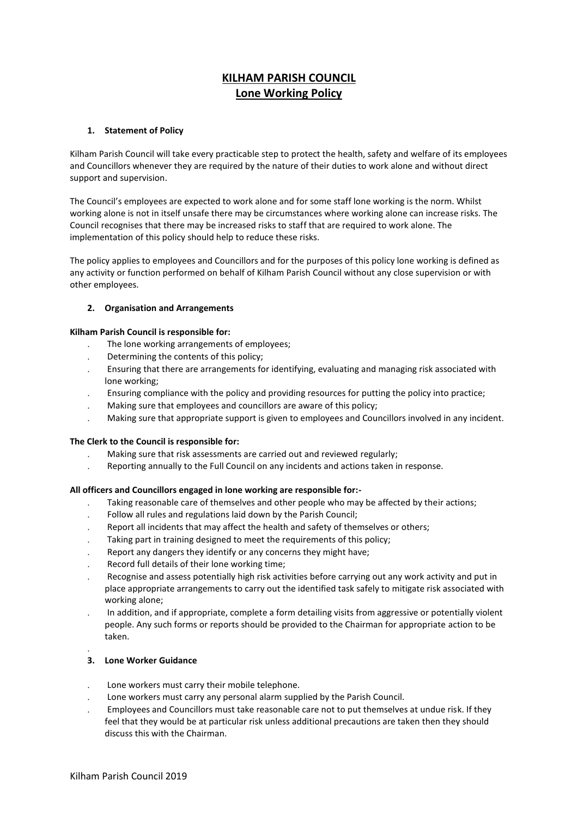# **KILHAM PARISH COUNCIL Lone Working Policy**

## **1. Statement of Policy**

Kilham Parish Council will take every practicable step to protect the health, safety and welfare of its employees and Councillors whenever they are required by the nature of their duties to work alone and without direct support and supervision.

The Council's employees are expected to work alone and for some staff lone working is the norm. Whilst working alone is not in itself unsafe there may be circumstances where working alone can increase risks. The Council recognises that there may be increased risks to staff that are required to work alone. The implementation of this policy should help to reduce these risks.

The policy applies to employees and Councillors and for the purposes of this policy lone working is defined as any activity or function performed on behalf of Kilham Parish Council without any close supervision or with other employees.

## **2. Organisation and Arrangements**

## **Kilham Parish Council is responsible for:**

- The lone working arrangements of employees;
- Determining the contents of this policy;
- Ensuring that there are arrangements for identifying, evaluating and managing risk associated with lone working;
- Ensuring compliance with the policy and providing resources for putting the policy into practice;
- Making sure that employees and councillors are aware of this policy;
- Making sure that appropriate support is given to employees and Councillors involved in any incident.

## **The Clerk to the Council is responsible for:**

- Making sure that risk assessments are carried out and reviewed regularly;
- Reporting annually to the Full Council on any incidents and actions taken in response.

## **All officers and Councillors engaged in lone working are responsible for:-**

- Taking reasonable care of themselves and other people who may be affected by their actions;
- Follow all rules and regulations laid down by the Parish Council;
- Report all incidents that may affect the health and safety of themselves or others;
- Taking part in training designed to meet the requirements of this policy;
- Report any dangers they identify or any concerns they might have;
- Record full details of their lone working time;
- Recognise and assess potentially high risk activities before carrying out any work activity and put in place appropriate arrangements to carry out the identified task safely to mitigate risk associated with working alone;
- In addition, and if appropriate, complete a form detailing visits from aggressive or potentially violent people. Any such forms or reports should be provided to the Chairman for appropriate action to be taken.

## **3. Lone Worker Guidance**

 $\ddot{\phantom{0}}$ 

- Lone workers must carry their mobile telephone.
- Lone workers must carry any personal alarm supplied by the Parish Council.
- Employees and Councillors must take reasonable care not to put themselves at undue risk. If they feel that they would be at particular risk unless additional precautions are taken then they should discuss this with the Chairman.